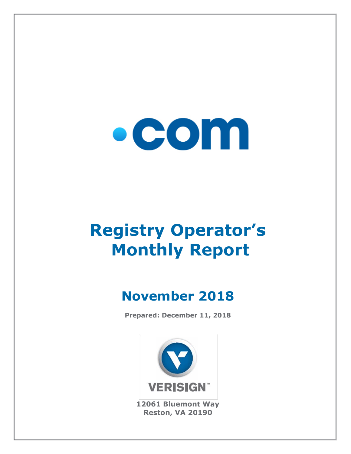

# **Registry Operator's Monthly Report**

# **November 2018**

**Prepared: December 11, 2018**



**12061 Bluemont Way Reston, VA 20190**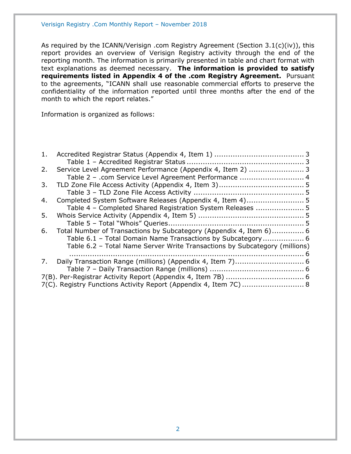As required by the ICANN/Verisign .com Registry Agreement (Section 3.1(c)(iv)), this report provides an overview of Verisign Registry activity through the end of the reporting month. The information is primarily presented in table and chart format with text explanations as deemed necessary. **The information is provided to satisfy requirements listed in Appendix 4 of the .com Registry Agreement.** Pursuant to the agreements, "ICANN shall use reasonable commercial efforts to preserve the confidentiality of the information reported until three months after the end of the month to which the report relates."

Information is organized as follows:

| 1. |                                                                            |  |
|----|----------------------------------------------------------------------------|--|
|    |                                                                            |  |
| 2. | Service Level Agreement Performance (Appendix 4, Item 2)  3                |  |
|    | Table 2 - .com Service Level Agreement Performance  4                      |  |
| 3. |                                                                            |  |
|    |                                                                            |  |
| 4. |                                                                            |  |
|    | Table 4 - Completed Shared Registration System Releases  5                 |  |
| 5. |                                                                            |  |
|    |                                                                            |  |
| 6. | Total Number of Transactions by Subcategory (Appendix 4, Item 6) 6         |  |
|    | Table 6.1 - Total Domain Name Transactions by Subcategory 6                |  |
|    | Table 6.2 - Total Name Server Write Transactions by Subcategory (millions) |  |
|    |                                                                            |  |
| 7. |                                                                            |  |
|    |                                                                            |  |
|    |                                                                            |  |
|    | 7(C). Registry Functions Activity Report (Appendix 4, Item 7C)  8          |  |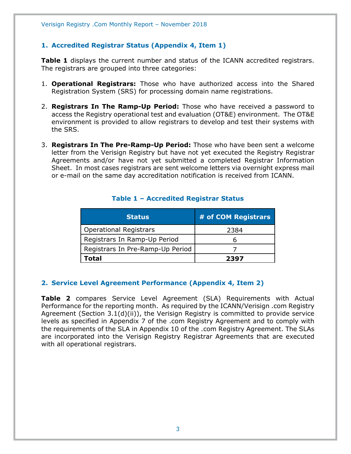#### <span id="page-2-0"></span>**1. Accredited Registrar Status (Appendix 4, Item 1)**

**Table 1** displays the current number and status of the ICANN accredited registrars. The registrars are grouped into three categories:

- 1. **Operational Registrars:** Those who have authorized access into the Shared Registration System (SRS) for processing domain name registrations.
- 2. **Registrars In The Ramp-Up Period:** Those who have received a password to access the Registry operational test and evaluation (OT&E) environment. The OT&E environment is provided to allow registrars to develop and test their systems with the SRS.
- 3. **Registrars In The Pre-Ramp-Up Period:** Those who have been sent a welcome letter from the Verisign Registry but have not yet executed the Registry Registrar Agreements and/or have not yet submitted a completed Registrar Information Sheet. In most cases registrars are sent welcome letters via overnight express mail or e-mail on the same day accreditation notification is received from ICANN.

<span id="page-2-1"></span>

| <b>Status</b>                    | # of COM Registrars |
|----------------------------------|---------------------|
| <b>Operational Registrars</b>    | 2384                |
| Registrars In Ramp-Up Period     |                     |
| Registrars In Pre-Ramp-Up Period |                     |
| Total                            | 2397                |

#### **Table 1 – Accredited Registrar Status**

#### <span id="page-2-2"></span>**2. Service Level Agreement Performance (Appendix 4, Item 2)**

**Table 2** compares Service Level Agreement (SLA) Requirements with Actual Performance for the reporting month. As required by the ICANN/Verisign .com Registry Agreement (Section 3.1(d)(ii)), the Verisign Registry is committed to provide service levels as specified in Appendix 7 of the .com Registry Agreement and to comply with the requirements of the SLA in Appendix 10 of the .com Registry Agreement. The SLAs are incorporated into the Verisign Registry Registrar Agreements that are executed with all operational registrars.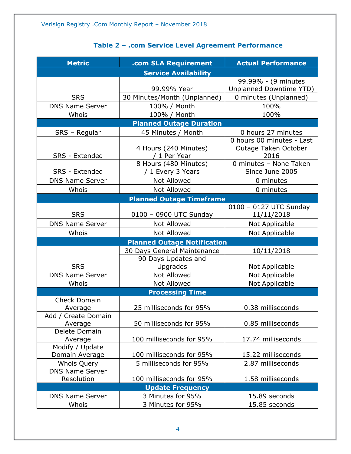# **Table 2 – .com Service Level Agreement Performance**

<span id="page-3-0"></span>

| <b>Metric</b>                        | .com SLA Requirement                       | <b>Actual Performance</b>                                 |  |  |  |  |
|--------------------------------------|--------------------------------------------|-----------------------------------------------------------|--|--|--|--|
| <b>Service Availability</b>          |                                            |                                                           |  |  |  |  |
|                                      | 99.99% Year                                | 99.99% - (9 minutes<br>Unplanned Downtime YTD)            |  |  |  |  |
| <b>SRS</b>                           | 30 Minutes/Month (Unplanned)               | 0 minutes (Unplanned)                                     |  |  |  |  |
| <b>DNS Name Server</b>               | 100% / Month                               | 100%                                                      |  |  |  |  |
| Whois                                | 100% / Month                               | 100%                                                      |  |  |  |  |
|                                      | <b>Planned Outage Duration</b>             |                                                           |  |  |  |  |
| SRS - Regular                        | 45 Minutes / Month                         | 0 hours 27 minutes                                        |  |  |  |  |
| SRS - Extended                       | 4 Hours (240 Minutes)<br>/ 1 Per Year      | 0 hours 00 minutes - Last<br>Outage Taken October<br>2016 |  |  |  |  |
| SRS - Extended                       | 8 Hours (480 Minutes)<br>/ 1 Every 3 Years | 0 minutes - None Taken<br>Since June 2005                 |  |  |  |  |
| <b>DNS Name Server</b>               | Not Allowed                                | 0 minutes                                                 |  |  |  |  |
| Whois                                | <b>Not Allowed</b>                         | 0 minutes                                                 |  |  |  |  |
|                                      | <b>Planned Outage Timeframe</b>            |                                                           |  |  |  |  |
| <b>SRS</b>                           | 0100 - 0900 UTC Sunday                     | 0100 - 0127 UTC Sunday<br>11/11/2018                      |  |  |  |  |
| <b>DNS Name Server</b>               | <b>Not Allowed</b>                         | Not Applicable                                            |  |  |  |  |
| Whois                                | <b>Not Allowed</b>                         | Not Applicable                                            |  |  |  |  |
|                                      | <b>Planned Outage Notification</b>         |                                                           |  |  |  |  |
|                                      | 30 Days General Maintenance                | 10/11/2018                                                |  |  |  |  |
|                                      | 90 Days Updates and                        |                                                           |  |  |  |  |
| <b>SRS</b>                           | Upgrades                                   | Not Applicable                                            |  |  |  |  |
| <b>DNS Name Server</b>               | Not Allowed                                | Not Applicable                                            |  |  |  |  |
| Whois                                | <b>Not Allowed</b>                         | Not Applicable                                            |  |  |  |  |
|                                      | <b>Processing Time</b>                     |                                                           |  |  |  |  |
| <b>Check Domain</b><br>Average       | 25 milliseconds for 95%                    | 0.38 milliseconds                                         |  |  |  |  |
| Add / Create Domain<br>Average       | 50 milliseconds for 95%                    | 0.85 milliseconds                                         |  |  |  |  |
| Delete Domain<br>Average             | 100 milliseconds for 95%                   | 17.74 milliseconds                                        |  |  |  |  |
| Modify / Update<br>Domain Average    | 100 milliseconds for 95%                   | 15.22 milliseconds                                        |  |  |  |  |
| Whois Query                          | 5 milliseconds for 95%                     | 2.87 milliseconds                                         |  |  |  |  |
| <b>DNS Name Server</b><br>Resolution | 100 milliseconds for 95%                   | 1.58 milliseconds                                         |  |  |  |  |
|                                      | <b>Update Frequency</b>                    |                                                           |  |  |  |  |
| <b>DNS Name Server</b>               | 3 Minutes for 95%                          | 15.89 seconds                                             |  |  |  |  |
| Whois                                | 3 Minutes for 95%                          | 15.85 seconds                                             |  |  |  |  |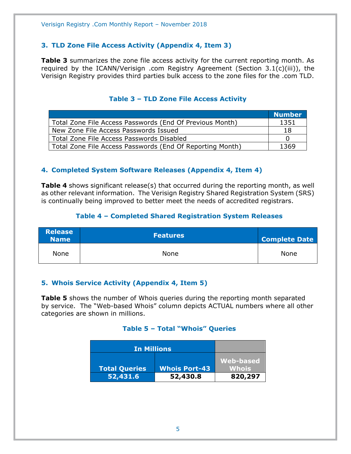#### <span id="page-4-0"></span>**3. TLD Zone File Access Activity (Appendix 4, Item 3)**

**Table 3** summarizes the zone file access activity for the current reporting month. As required by the ICANN/Verisign .com Registry Agreement (Section 3.1(c)(iii)), the Verisign Registry provides third parties bulk access to the zone files for the .com TLD.

<span id="page-4-1"></span>

|                                                           | <b>Number</b> |
|-----------------------------------------------------------|---------------|
| Total Zone File Access Passwords (End Of Previous Month)  | 1351          |
| New Zone File Access Passwords Issued                     | 18            |
| Total Zone File Access Passwords Disabled                 |               |
| Total Zone File Access Passwords (End Of Reporting Month) | 1369          |

#### **Table 3 – TLD Zone File Access Activity**

#### <span id="page-4-2"></span>**4. Completed System Software Releases (Appendix 4, Item 4)**

**Table 4** shows significant release(s) that occurred during the reporting month, as well as other relevant information. The Verisign Registry Shared Registration System (SRS) is continually being improved to better meet the needs of accredited registrars.

#### **Table 4 – Completed Shared Registration System Releases**

<span id="page-4-3"></span>

| <b>Release</b><br><b>Name</b> | <b>Features</b> | <b>Complete Date</b> |
|-------------------------------|-----------------|----------------------|
| None                          | None            | <b>None</b>          |

#### <span id="page-4-4"></span>**5. Whois Service Activity (Appendix 4, Item 5)**

<span id="page-4-5"></span>**Table 5** shows the number of Whois queries during the reporting month separated by service. The "Web-based Whois" column depicts ACTUAL numbers where all other categories are shown in millions.

#### **Table 5 – Total "Whois" Queries**

| In Millions          |                      |                  |
|----------------------|----------------------|------------------|
|                      |                      | <b>Web-based</b> |
| <b>Total Queries</b> | <b>Whois Port-43</b> | Whois            |
| 52,431.6             | 52,430.8             | 820,297          |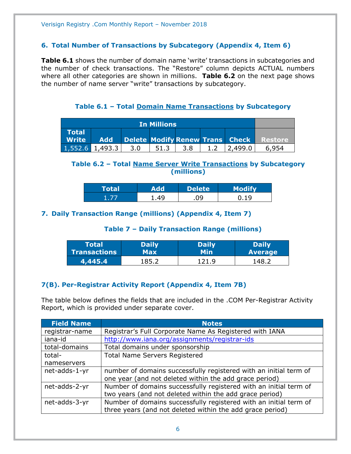#### <span id="page-5-0"></span>**6. Total Number of Transactions by Subcategory (Appendix 4, Item 6)**

**Table 6.1** shows the number of domain name 'write' transactions in subcategories and the number of check transactions. The "Restore" column depicts ACTUAL numbers where all other categories are shown in millions. **Table 6.2** on the next page shows the number of name server "write" transactions by subcategory.

**Table 6.1 – Total Domain Name Transactions by Subcategory**

<span id="page-5-1"></span>

| <b>In Millions</b>                                  |            |     |      |     |                                 |         |
|-----------------------------------------------------|------------|-----|------|-----|---------------------------------|---------|
| <b>Total</b><br>$\blacksquare$ Write $\blacksquare$ | <b>Add</b> |     |      |     | Delete Modify Renew Trans Check | Restore |
| $1,552.6$ 1,493.3                                   |            | 3.0 | 51.3 | 3.8 | .499.0                          | 6954    |

#### <span id="page-5-2"></span>**Table 6.2 – Total Name Server Write Transactions by Subcategory (millions)**

| Total |      | <b>Delete</b> |  |
|-------|------|---------------|--|
|       | . 49 | 09            |  |

#### <span id="page-5-4"></span><span id="page-5-3"></span>**7. Daily Transaction Range (millions) (Appendix 4, Item 7)**

#### **Table 7 – Daily Transaction Range (millions)**

| Total'              | <b>Daily</b> | <b>Daily</b> | <b>Daily</b>   |
|---------------------|--------------|--------------|----------------|
| <b>Transactions</b> | Max          | Min          | <b>Average</b> |
| 4,445.4             | 185          |              | '48            |

#### <span id="page-5-5"></span>**7(B). Per-Registrar Activity Report (Appendix 4, Item 7B)**

The table below defines the fields that are included in the .COM Per-Registrar Activity Report, which is provided under separate cover.

| <b>Field Name</b> | <b>Notes</b>                                                      |
|-------------------|-------------------------------------------------------------------|
| registrar-name    | Registrar's Full Corporate Name As Registered with IANA           |
| iana-id           | http://www.iana.org/assignments/registrar-ids                     |
| total-domains     | Total domains under sponsorship                                   |
| total-            | <b>Total Name Servers Registered</b>                              |
| nameservers       |                                                                   |
| net-adds-1-yr     | number of domains successfully registered with an initial term of |
|                   | one year (and not deleted within the add grace period)            |
| net-adds-2-yr     | Number of domains successfully registered with an initial term of |
|                   | two years (and not deleted within the add grace period)           |
| net-adds-3-yr     | Number of domains successfully registered with an initial term of |
|                   | three years (and not deleted within the add grace period)         |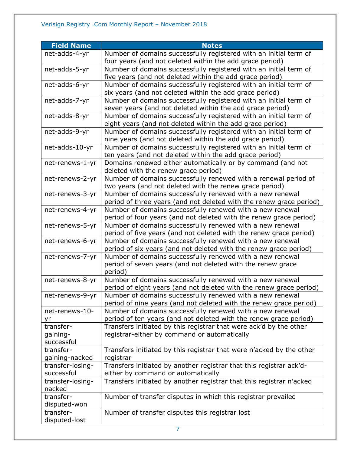| <b>Field Name</b>           | <b>Notes</b>                                                                                                                 |
|-----------------------------|------------------------------------------------------------------------------------------------------------------------------|
| net-adds-4-yr               | Number of domains successfully registered with an initial term of                                                            |
|                             | four years (and not deleted within the add grace period)                                                                     |
| net-adds-5-yr               | Number of domains successfully registered with an initial term of                                                            |
|                             | five years (and not deleted within the add grace period)                                                                     |
| net-adds-6-yr               | Number of domains successfully registered with an initial term of                                                            |
|                             | six years (and not deleted within the add grace period)                                                                      |
| net-adds-7-yr               | Number of domains successfully registered with an initial term of                                                            |
|                             | seven years (and not deleted within the add grace period)                                                                    |
| net-adds-8-yr               | Number of domains successfully registered with an initial term of                                                            |
|                             | eight years (and not deleted within the add grace period)                                                                    |
| net-adds-9-yr               | Number of domains successfully registered with an initial term of                                                            |
|                             | nine years (and not deleted within the add grace period)                                                                     |
| net-adds-10-yr              | Number of domains successfully registered with an initial term of<br>ten years (and not deleted within the add grace period) |
| net-renews-1-yr             | Domains renewed either automatically or by command (and not                                                                  |
|                             | deleted with the renew grace period)                                                                                         |
| net-renews-2-yr             | Number of domains successfully renewed with a renewal period of                                                              |
|                             | two years (and not deleted with the renew grace period)                                                                      |
| net-renews-3-yr             | Number of domains successfully renewed with a new renewal                                                                    |
|                             | period of three years (and not deleted with the renew grace period)                                                          |
| net-renews-4-yr             | Number of domains successfully renewed with a new renewal                                                                    |
|                             | period of four years (and not deleted with the renew grace period)                                                           |
| net-renews-5-yr             | Number of domains successfully renewed with a new renewal                                                                    |
|                             | period of five years (and not deleted with the renew grace period)                                                           |
| net-renews-6-yr             | Number of domains successfully renewed with a new renewal                                                                    |
|                             | period of six years (and not deleted with the renew grace period)                                                            |
| net-renews-7-yr             | Number of domains successfully renewed with a new renewal                                                                    |
|                             | period of seven years (and not deleted with the renew grace<br>period)                                                       |
| net-renews-8-yr             | Number of domains successfully renewed with a new renewal                                                                    |
|                             | period of eight years (and not deleted with the renew grace period)                                                          |
| net-renews-9-yr             | Number of domains successfully renewed with a new renewal                                                                    |
|                             | period of nine years (and not deleted with the renew grace period)                                                           |
| net-renews-10-              | Number of domains successfully renewed with a new renewal                                                                    |
| yr                          | period of ten years (and not deleted with the renew grace period)                                                            |
| transfer-                   | Transfers initiated by this registrar that were ack'd by the other                                                           |
| gaining-                    | registrar-either by command or automatically                                                                                 |
| successful                  |                                                                                                                              |
| transfer-<br>gaining-nacked | Transfers initiated by this registrar that were n'acked by the other<br>registrar                                            |
| transfer-losing-            | Transfers initiated by another registrar that this registrar ack'd-                                                          |
| successful                  | either by command or automatically                                                                                           |
| transfer-losing-            | Transfers initiated by another registrar that this registrar n'acked                                                         |
| nacked                      |                                                                                                                              |
| transfer-                   | Number of transfer disputes in which this registrar prevailed                                                                |
| disputed-won                |                                                                                                                              |
| transfer-                   | Number of transfer disputes this registrar lost                                                                              |
| disputed-lost               |                                                                                                                              |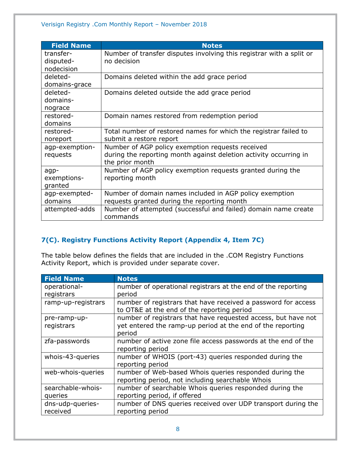| <b>Field Name</b> | <b>Notes</b>                                                         |
|-------------------|----------------------------------------------------------------------|
| transfer-         | Number of transfer disputes involving this registrar with a split or |
| disputed-         | no decision                                                          |
| nodecision        |                                                                      |
| deleted-          | Domains deleted within the add grace period                          |
| domains-grace     |                                                                      |
| deleted-          | Domains deleted outside the add grace period                         |
| domains-          |                                                                      |
| nograce           |                                                                      |
| restored-         | Domain names restored from redemption period                         |
| domains           |                                                                      |
| restored-         | Total number of restored names for which the registrar failed to     |
| noreport          | submit a restore report                                              |
| agp-exemption-    | Number of AGP policy exemption requests received                     |
| requests          | during the reporting month against deletion activity occurring in    |
|                   | the prior month                                                      |
| agp-              | Number of AGP policy exemption requests granted during the           |
| exemptions-       | reporting month                                                      |
| granted           |                                                                      |
| agp-exempted-     | Number of domain names included in AGP policy exemption              |
| domains           | requests granted during the reporting month                          |
| attempted-adds    | Number of attempted (successful and failed) domain name create       |
|                   | commands                                                             |

# <span id="page-7-0"></span>**7(C). Registry Functions Activity Report (Appendix 4, Item 7C)**

The table below defines the fields that are included in the .COM Registry Functions Activity Report, which is provided under separate cover.

| <b>Field Name</b>  | <b>Notes</b>                                                                                                |
|--------------------|-------------------------------------------------------------------------------------------------------------|
| operational-       | number of operational registrars at the end of the reporting                                                |
| registrars         | period                                                                                                      |
| ramp-up-registrars | number of registrars that have received a password for access<br>to OT&E at the end of the reporting period |
| pre-ramp-up-       | number of registrars that have requested access, but have not                                               |
| registrars         | yet entered the ramp-up period at the end of the reporting<br>period                                        |
| zfa-passwords      | number of active zone file access passwords at the end of the                                               |
|                    | reporting period                                                                                            |
| whois-43-queries   | number of WHOIS (port-43) queries responded during the                                                      |
|                    | reporting period                                                                                            |
| web-whois-queries  | number of Web-based Whois queries responded during the                                                      |
|                    | reporting period, not including searchable Whois                                                            |
| searchable-whois-  | number of searchable Whois queries responded during the                                                     |
| queries            | reporting period, if offered                                                                                |
| dns-udp-queries-   | number of DNS queries received over UDP transport during the                                                |
| received           | reporting period                                                                                            |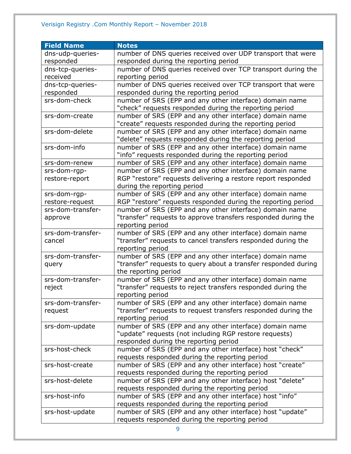# Verisign Registry .Com Monthly Report – November 2018

| <b>Field Name</b> | <b>Notes</b>                                                                                                              |
|-------------------|---------------------------------------------------------------------------------------------------------------------------|
| dns-udp-queries-  | number of DNS queries received over UDP transport that were                                                               |
| responded         | responded during the reporting period                                                                                     |
| dns-tcp-queries-  | number of DNS queries received over TCP transport during the                                                              |
| received          | reporting period                                                                                                          |
| dns-tcp-queries-  | number of DNS queries received over TCP transport that were                                                               |
| responded         | responded during the reporting period                                                                                     |
| srs-dom-check     | number of SRS (EPP and any other interface) domain name                                                                   |
|                   | "check" requests responded during the reporting period                                                                    |
| srs-dom-create    | number of SRS (EPP and any other interface) domain name                                                                   |
|                   | "create" requests responded during the reporting period                                                                   |
| srs-dom-delete    | number of SRS (EPP and any other interface) domain name                                                                   |
|                   | "delete" requests responded during the reporting period                                                                   |
| srs-dom-info      | number of SRS (EPP and any other interface) domain name                                                                   |
|                   | "info" requests responded during the reporting period                                                                     |
| srs-dom-renew     | number of SRS (EPP and any other interface) domain name                                                                   |
| srs-dom-rgp-      | number of SRS (EPP and any other interface) domain name                                                                   |
| restore-report    | RGP "restore" requests delivering a restore report responded                                                              |
|                   | during the reporting period                                                                                               |
| srs-dom-rgp-      | number of SRS (EPP and any other interface) domain name                                                                   |
| restore-request   | RGP "restore" requests responded during the reporting period                                                              |
| srs-dom-transfer- | number of SRS (EPP and any other interface) domain name                                                                   |
| approve           | "transfer" requests to approve transfers responded during the                                                             |
|                   | reporting period                                                                                                          |
| srs-dom-transfer- | number of SRS (EPP and any other interface) domain name                                                                   |
| cancel            | "transfer" requests to cancel transfers responded during the                                                              |
|                   | reporting period                                                                                                          |
| srs-dom-transfer- | number of SRS (EPP and any other interface) domain name<br>"transfer" requests to query about a transfer responded during |
| query             | the reporting period                                                                                                      |
| srs-dom-transfer- | number of SRS (EPP and any other interface) domain name                                                                   |
| reject            | "transfer" requests to reject transfers responded during the                                                              |
|                   | reporting period                                                                                                          |
| srs-dom-transfer- | number of SRS (EPP and any other interface) domain name                                                                   |
| request           | "transfer" requests to request transfers responded during the                                                             |
|                   | reporting period                                                                                                          |
| srs-dom-update    | number of SRS (EPP and any other interface) domain name                                                                   |
|                   | "update" requests (not including RGP restore requests)                                                                    |
|                   | responded during the reporting period                                                                                     |
| srs-host-check    | number of SRS (EPP and any other interface) host "check"                                                                  |
|                   | requests responded during the reporting period                                                                            |
| srs-host-create   | number of SRS (EPP and any other interface) host "create"                                                                 |
|                   | requests responded during the reporting period                                                                            |
| srs-host-delete   | number of SRS (EPP and any other interface) host "delete"                                                                 |
|                   | requests responded during the reporting period                                                                            |
| srs-host-info     | number of SRS (EPP and any other interface) host "info"                                                                   |
|                   | requests responded during the reporting period                                                                            |
| srs-host-update   | number of SRS (EPP and any other interface) host "update"                                                                 |
|                   | requests responded during the reporting period                                                                            |